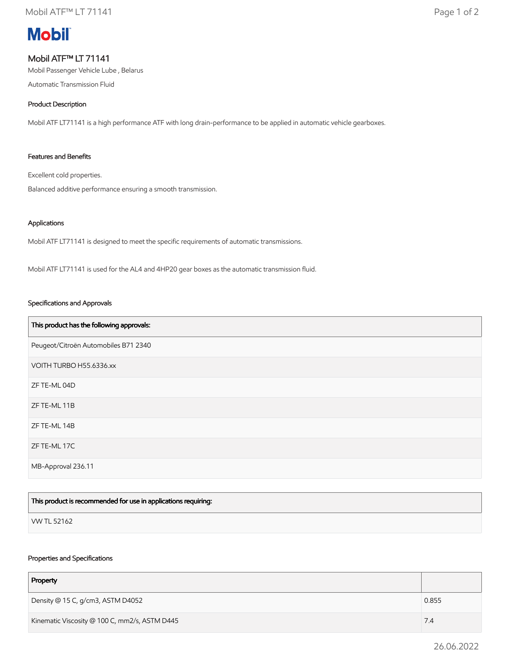# **Mobil**

## Mobil ATF™ LT 71141

Mobil Passenger Vehicle Lube , Belarus

Automatic Transmission Fluid

#### Product Description

Mobil ATF LT71141 is a high performance ATF with long drain-performance to be applied in automatic vehicle gearboxes.

#### Features and Benefits

Excellent cold properties.

Balanced additive performance ensuring a smooth transmission.

#### Applications

Mobil ATF LT71141 is designed to meet the specific requirements of automatic transmissions.

Mobil ATF LT71141 is used for the AL4 and 4HP20 gear boxes as the automatic transmission fluid.

#### Specifications and Approvals

| This product has the following approvals: |
|-------------------------------------------|
| Peugeot/Citroën Automobiles B71 2340      |
| VOITH TURBO H55.6336.xx                   |
| ZF TE-ML 04D                              |
| ZF TE-ML 11B                              |
| ZF TE-ML 14B                              |
| ZF TE-ML 17C                              |
| MB-Approval 236.11                        |

| This product is recommended for use in applications requiring: |  |
|----------------------------------------------------------------|--|
| VW TL 52162                                                    |  |

#### Properties and Specifications

| Property                                      |  |  |  |  |
|-----------------------------------------------|--|--|--|--|
| Density @ 15 C, g/cm3, ASTM D4052<br>0.855    |  |  |  |  |
| Kinematic Viscosity @ 100 C, mm2/s, ASTM D445 |  |  |  |  |